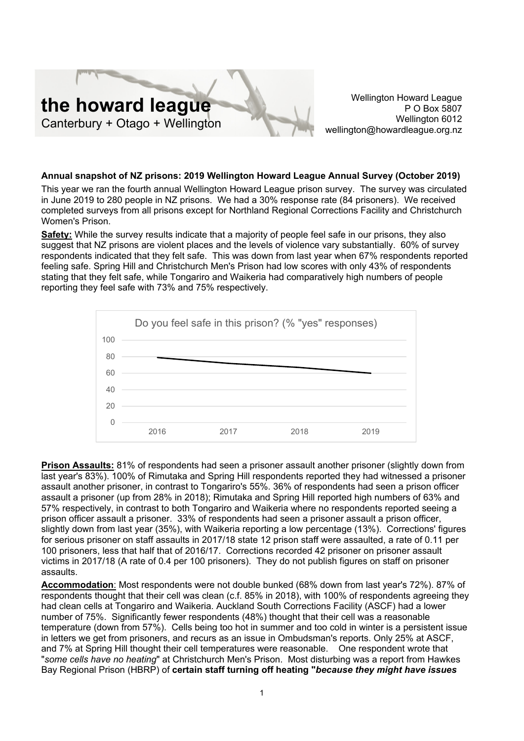

Wellington Howard League P O Box 5807 Wellington 6012 wellington@howardleague.org.nz

## **Annual snapshot of NZ prisons: 2019 Wellington Howard League Annual Survey (October 2019)**

This year we ran the fourth annual Wellington Howard League prison survey. The survey was circulated in June 2019 to 280 people in NZ prisons. We had a 30% response rate (84 prisoners). We received completed surveys from all prisons except for Northland Regional Corrections Facility and Christchurch Women's Prison.

**Safety:** While the survey results indicate that a majority of people feel safe in our prisons, they also suggest that NZ prisons are violent places and the levels of violence vary substantially. 60% of survey respondents indicated that they felt safe. This was down from last year when 67% respondents reported feeling safe. Spring Hill and Christchurch Men's Prison had low scores with only 43% of respondents stating that they felt safe, while Tongariro and Waikeria had comparatively high numbers of people reporting they feel safe with 73% and 75% respectively.



**Prison Assaults:** 81% of respondents had seen a prisoner assault another prisoner (slightly down from last year's 83%). 100% of Rimutaka and Spring Hill respondents reported they had witnessed a prisoner assault another prisoner, in contrast to Tongariro's 55%. 36% of respondents had seen a prison officer assault a prisoner (up from 28% in 2018); Rimutaka and Spring Hill reported high numbers of 63% and 57% respectively, in contrast to both Tongariro and Waikeria where no respondents reported seeing a prison officer assault a prisoner. 33% of respondents had seen a prisoner assault a prison officer, slightly down from last year (35%), with Waikeria reporting a low percentage (13%). Corrections' figures for serious prisoner on staff assaults in 2017/18 state 12 prison staff were assaulted, a rate of 0.11 per 100 prisoners, less that half that of 2016/17. Corrections recorded 42 prisoner on prisoner assault victims in 2017/18 (A rate of 0.4 per 100 prisoners). They do not publish figures on staff on prisoner assaults.

**Accommodation**: Most respondents were not double bunked (68% down from last year's 72%). 87% of respondents thought that their cell was clean (c.f. 85% in 2018), with 100% of respondents agreeing they had clean cells at Tongariro and Waikeria. Auckland South Corrections Facility (ASCF) had a lower number of 75%. Significantly fewer respondents (48%) thought that their cell was a reasonable temperature (down from 57%). Cells being too hot in summer and too cold in winter is a persistent issue in letters we get from prisoners, and recurs as an issue in Ombudsman's reports. Only 25% at ASCF, and 7% at Spring Hill thought their cell temperatures were reasonable. One respondent wrote that "*some cells have no heating*" at Christchurch Men's Prison. Most disturbing was a report from Hawkes Bay Regional Prison (HBRP) of **certain staff turning off heating "***because they might have issues*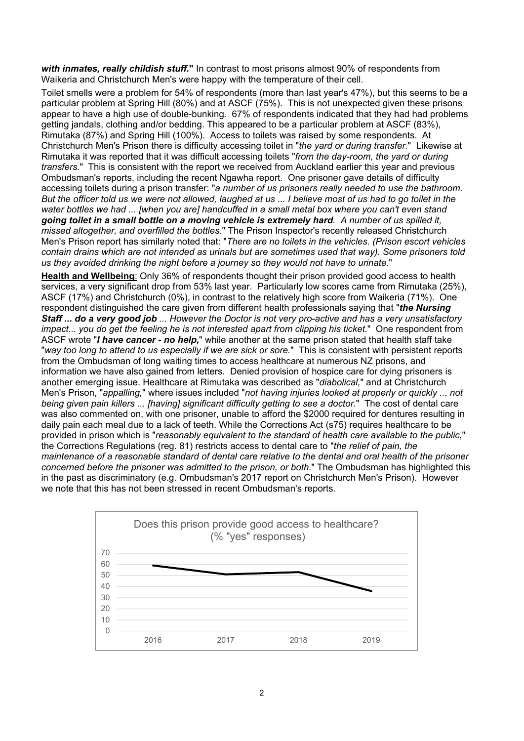*with inmates, really childish stuff.***"** In contrast to most prisons almost 90% of respondents from Waikeria and Christchurch Men's were happy with the temperature of their cell.

Toilet smells were a problem for 54% of respondents (more than last year's 47%), but this seems to be a particular problem at Spring Hill (80%) and at ASCF (75%). This is not unexpected given these prisons appear to have a high use of double-bunking. 67% of respondents indicated that they had had problems getting jandals, clothing and/or bedding. This appeared to be a particular problem at ASCF (83%), Rimutaka (87%) and Spring Hill (100%). Access to toilets was raised by some respondents. At Christchurch Men's Prison there is difficulty accessing toilet in "*the yard or during transfer.*" Likewise at Rimutaka it was reported that it was difficult accessing toilets "*from the day-room, the yard or during transfers.*" This is consistent with the report we received from Auckland earlier this year and previous Ombudsman's reports, including the recent Ngawha report. One prisoner gave details of difficulty accessing toilets during a prison transfer: "*a number of us prisoners really needed to use the bathroom. But the officer told us we were not allowed, laughed at us ... I believe most of us had to go toilet in the water bottles we had ... [when you are] handcuffed in a small metal box where you can't even stand going toilet in a small bottle on a moving vehicle is extremely hard. A number of us spilled it, missed altogether, and overfilled the bottles.*" The Prison Inspector's recently released Christchurch Men's Prison report has similarly noted that: "*There are no toilets in the vehicles. (Prison escort vehicles contain drains which are not intended as urinals but are sometimes used that way). Some prisoners told us they avoided drinking the night before a journey so they would not have to urinate.*"

**Health and Wellbeing**: Only 36% of respondents thought their prison provided good access to health services, a very significant drop from 53% last year. Particularly low scores came from Rimutaka (25%), ASCF (17%) and Christchurch (0%), in contrast to the relatively high score from Waikeria (71%). One respondent distinguished the care given from different health professionals saying that "*the Nursing Staff ... do a very good job ... However the Doctor is not very pro-active and has a very unsatisfactory impact... you do get the feeling he is not interested apart from clipping his ticket.*" One respondent from ASCF wrote "*I have cancer - no help,*" while another at the same prison stated that health staff take "*way too long to attend to us especially if we are sick or sore.*" This is consistent with persistent reports from the Ombudsman of long waiting times to access healthcare at numerous NZ prisons, and information we have also gained from letters. Denied provision of hospice care for dying prisoners is another emerging issue. Healthcare at Rimutaka was described as "*diabolical,*" and at Christchurch Men's Prison, "*appalling,*" where issues included "*not having injuries looked at properly or quickly ... not being given pain killers ... [having] significant difficulty getting to see a doctor.*" The cost of dental care was also commented on, with one prisoner, unable to afford the \$2000 required for dentures resulting in daily pain each meal due to a lack of teeth. While the Corrections Act (s75) requires healthcare to be provided in prison which is "*reasonably equivalent to the standard of health care available to the public*," the Corrections Regulations (reg. 81) restricts access to dental care to "*the relief of pain, the maintenance of a reasonable standard of dental care relative to the dental and oral health of the prisoner concerned before the prisoner was admitted to the prison, or both*." The Ombudsman has highlighted this in the past as discriminatory (e.g. Ombudsman's 2017 report on Christchurch Men's Prison). However we note that this has not been stressed in recent Ombudsman's reports.

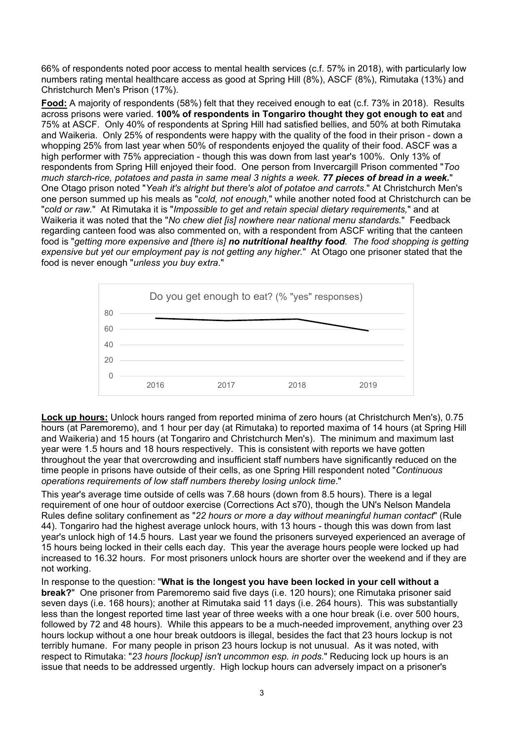66% of respondents noted poor access to mental health services (c.f. 57% in 2018), with particularly low numbers rating mental healthcare access as good at Spring Hill (8%), ASCF (8%), Rimutaka (13%) and Christchurch Men's Prison (17%).

**Food:** A majority of respondents (58%) felt that they received enough to eat (c.f. 73% in 2018). Results across prisons were varied. **100% of respondents in Tongariro thought they got enough to eat** and 75% at ASCF. Only 40% of respondents at Spring Hill had satisfied bellies, and 50% at both Rimutaka and Waikeria. Only 25% of respondents were happy with the quality of the food in their prison - down a whopping 25% from last year when 50% of respondents enjoyed the quality of their food. ASCF was a high performer with 75% appreciation - though this was down from last year's 100%. Only 13% of respondents from Spring Hill enjoyed their food. One person from Invercargill Prison commented "*Too much starch-rice, potatoes and pasta in same meal 3 nights a week. 77 pieces of bread in a week.*" One Otago prison noted "*Yeah it's alright but there's alot of potatoe and carrots*." At Christchurch Men's one person summed up his meals as "*cold, not enough,*" while another noted food at Christchurch can be "*cold or raw.*" At Rimutaka it is "*Impossible to get and retain special dietary requirements,*" and at Waikeria it was noted that the "*No chew diet [is] nowhere near national menu standards.*" Feedback regarding canteen food was also commented on, with a respondent from ASCF writing that the canteen food is "*getting more expensive and [there is] no nutritional healthy food. The food shopping is getting expensive but yet our employment pay is not getting any higher.*" At Otago one prisoner stated that the food is never enough "*unless you buy extra*."



**Lock up hours:** Unlock hours ranged from reported minima of zero hours (at Christchurch Men's), 0.75 hours (at Paremoremo), and 1 hour per day (at Rimutaka) to reported maxima of 14 hours (at Spring Hill and Waikeria) and 15 hours (at Tongariro and Christchurch Men's). The minimum and maximum last year were 1.5 hours and 18 hours respectively. This is consistent with reports we have gotten throughout the year that overcrowding and insufficient staff numbers have significantly reduced on the time people in prisons have outside of their cells, as one Spring Hill respondent noted "*Continuous operations requirements of low staff numbers thereby losing unlock time*."

This year's average time outside of cells was 7.68 hours (down from 8.5 hours). There is a legal requirement of one hour of outdoor exercise (Corrections Act s70), though the UN's Nelson Mandela Rules define solitary confinement as "*22 hours or more a day without meaningful human contact*" (Rule 44). Tongariro had the highest average unlock hours, with 13 hours - though this was down from last year's unlock high of 14.5 hours. Last year we found the prisoners surveyed experienced an average of 15 hours being locked in their cells each day. This year the average hours people were locked up had increased to 16.32 hours. For most prisoners unlock hours are shorter over the weekend and if they are not working.

In response to the question: "**What is the longest you have been locked in your cell without a break?**" One prisoner from Paremoremo said five days (i.e. 120 hours); one Rimutaka prisoner said seven days (i.e. 168 hours); another at Rimutaka said 11 days (i.e. 264 hours). This was substantially less than the longest reported time last year of three weeks with a one hour break (i.e. over 500 hours, followed by 72 and 48 hours). While this appears to be a much-needed improvement, anything over 23 hours lockup without a one hour break outdoors is illegal, besides the fact that 23 hours lockup is not terribly humane. For many people in prison 23 hours lockup is not unusual. As it was noted, with respect to Rimutaka: "*23 hours [lockup] isn't uncommon esp. in pods.*" Reducing lock up hours is an issue that needs to be addressed urgently. High lockup hours can adversely impact on a prisoner's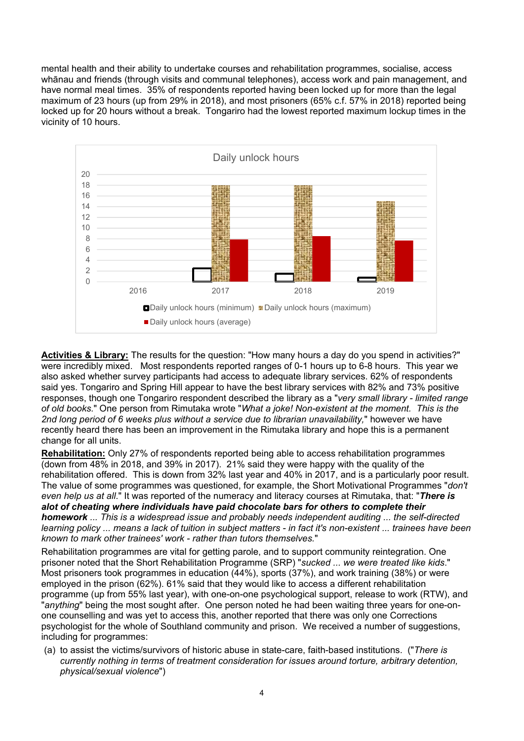mental health and their ability to undertake courses and rehabilitation programmes, socialise, access whānau and friends (through visits and communal telephones), access work and pain management, and have normal meal times. 35% of respondents reported having been locked up for more than the legal maximum of 23 hours (up from 29% in 2018), and most prisoners (65% c.f. 57% in 2018) reported being locked up for 20 hours without a break. Tongariro had the lowest reported maximum lockup times in the vicinity of 10 hours.



**Activities & Library:** The results for the question: "How many hours a day do you spend in activities?" were incredibly mixed. Most respondents reported ranges of 0-1 hours up to 6-8 hours. This year we also asked whether survey participants had access to adequate library services. 62% of respondents said yes. Tongariro and Spring Hill appear to have the best library services with 82% and 73% positive responses, though one Tongariro respondent described the library as a "*very small library - limited range of old books.*" One person from Rimutaka wrote "*What a joke! Non-existent at the moment. This is the 2nd long period of 6 weeks plus without a service due to librarian unavailability,*" however we have recently heard there has been an improvement in the Rimutaka library and hope this is a permanent change for all units.

**Rehabilitation:** Only 27% of respondents reported being able to access rehabilitation programmes (down from 48% in 2018, and 39% in 2017). 21% said they were happy with the quality of the rehabilitation offered. This is down from 32% last year and 40% in 2017, and is a particularly poor result. The value of some programmes was questioned, for example, the Short Motivational Programmes "*don't even help us at all*." It was reported of the numeracy and literacy courses at Rimutaka, that: "*There is alot of cheating where individuals have paid chocolate bars for others to complete their homework ... This is a widespread issue and probably needs independent auditing ... the self-directed learning policy ... means a lack of tuition in subject matters - in fact it's non-existent ... trainees have been known to mark other trainees' work - rather than tutors themselves.*"

Rehabilitation programmes are vital for getting parole, and to support community reintegration. One prisoner noted that the Short Rehabilitation Programme (SRP) "*sucked ... we were treated like kids*." Most prisoners took programmes in education (44%), sports (37%), and work training (38%) or were employed in the prison (62%). 61% said that they would like to access a different rehabilitation programme (up from 55% last year), with one-on-one psychological support, release to work (RTW), and "*anything*" being the most sought after. One person noted he had been waiting three years for one-onone counselling and was yet to access this, another reported that there was only one Corrections psychologist for the whole of Southland community and prison. We received a number of suggestions, including for programmes:

(a) to assist the victims/survivors of historic abuse in state-care, faith-based institutions. ("*There is currently nothing in terms of treatment consideration for issues around torture, arbitrary detention, physical/sexual violence*")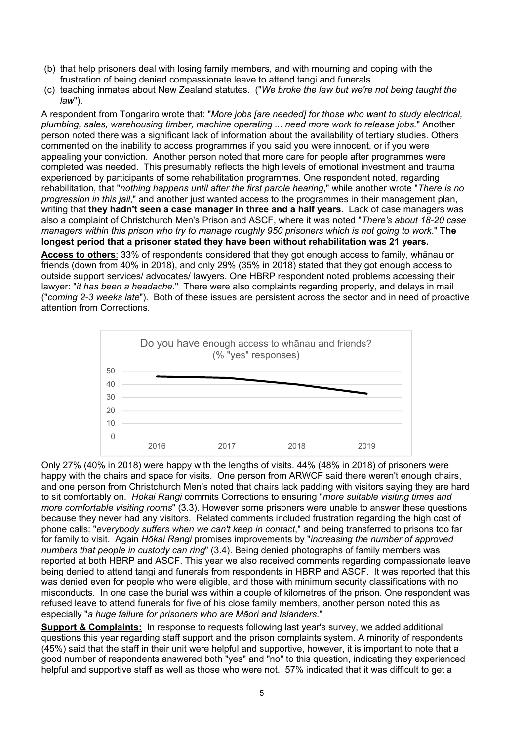- (b) that help prisoners deal with losing family members, and with mourning and coping with the frustration of being denied compassionate leave to attend tangi and funerals.
- (c) teaching inmates about New Zealand statutes. ("*We broke the law but we're not being taught the law*").

A respondent from Tongariro wrote that: "*More jobs [are needed] for those who want to study electrical, plumbing, sales, warehousing timber, machine operating ... need more work to release jobs.*" Another person noted there was a significant lack of information about the availability of tertiary studies. Others commented on the inability to access programmes if you said you were innocent, or if you were appealing your conviction. Another person noted that more care for people after programmes were completed was needed. This presumably reflects the high levels of emotional investment and trauma experienced by participants of some rehabilitation programmes. One respondent noted, regarding rehabilitation, that "*nothing happens until after the first parole hearing*," while another wrote "*There is no progression in this jail*," and another just wanted access to the programmes in their management plan, writing that **they hadn't seen a case manager in three and a half years**. Lack of case managers was also a complaint of Christchurch Men's Prison and ASCF, where it was noted "*There's about 18-20 case managers within this prison who try to manage roughly 950 prisoners which is not going to work*." **The longest period that a prisoner stated they have been without rehabilitation was 21 years.**

**Access to others**: 33% of respondents considered that they got enough access to family, whānau or friends (down from 40% in 2018), and only 29% (35% in 2018) stated that they got enough access to outside support services/ advocates/ lawyers. One HBRP respondent noted problems accessing their lawyer: "*it has been a headache.*" There were also complaints regarding property, and delays in mail ("*coming 2-3 weeks late*"). Both of these issues are persistent across the sector and in need of proactive attention from Corrections.



Only 27% (40% in 2018) were happy with the lengths of visits. 44% (48% in 2018) of prisoners were happy with the chairs and space for visits. One person from ARWCF said there weren't enough chairs, and one person from Christchurch Men's noted that chairs lack padding with visitors saying they are hard to sit comfortably on. *Hōkai Rangi* commits Corrections to ensuring "*more suitable visiting times and more comfortable visiting rooms*" (3.3). However some prisoners were unable to answer these questions because they never had any visitors. Related comments included frustration regarding the high cost of phone calls: "*everybody suffers when we can't keep in contact*," and being transferred to prisons too far for family to visit. Again *Hōkai Rangi* promises improvements by "*increasing the number of approved numbers that people in custody can ring*" (3.4). Being denied photographs of family members was reported at both HBRP and ASCF. This year we also received comments regarding compassionate leave being denied to attend tangi and funerals from respondents in HBRP and ASCF. It was reported that this was denied even for people who were eligible, and those with minimum security classifications with no misconducts. In one case the burial was within a couple of kilometres of the prison. One respondent was refused leave to attend funerals for five of his close family members, another person noted this as especially "*a huge failure for prisoners who are Māori and Islanders*."

**Support & Complaints:** In response to requests following last year's survey, we added additional questions this year regarding staff support and the prison complaints system. A minority of respondents (45%) said that the staff in their unit were helpful and supportive, however, it is important to note that a good number of respondents answered both "yes" and "no" to this question, indicating they experienced helpful and supportive staff as well as those who were not. 57% indicated that it was difficult to get a